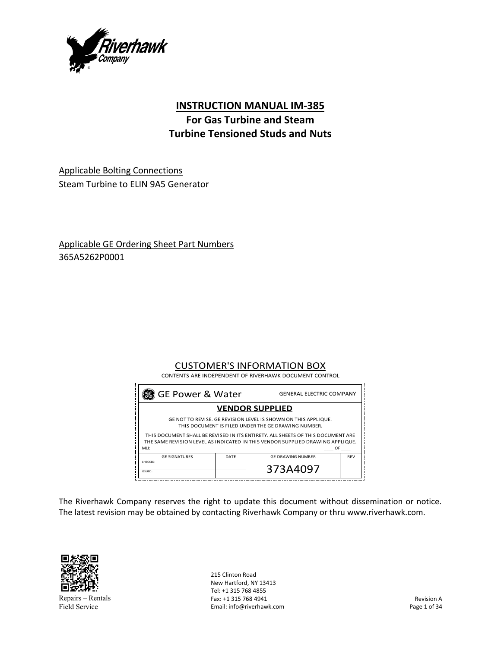

# **INSTRUCTION MANUAL IM‐385**

# **For Gas Turbine and Steam Turbine Tensioned Studs and Nuts**

Applicable Bolting Connections Steam Turbine to ELIN 9A5 Generator

Applicable GE Ordering Sheet Part Numbers 365A5262P0001

## CUSTOMER'S INFORMATION BOX

| 懇 GE Power & Water<br><b>GENERAL ELECTRIC COMPANY</b>                                                                                                                           |      |                          |            |
|---------------------------------------------------------------------------------------------------------------------------------------------------------------------------------|------|--------------------------|------------|
|                                                                                                                                                                                 |      | <b>VENDOR SUPPLIED</b>   |            |
| GE NOT TO REVISE. GE REVISION LEVEL IS SHOWN ON THIS APPLIQUE.<br>THIS DOCUMENT IS FILED UNDER THE GE DRAWING NUMBER.                                                           |      |                          |            |
| THIS DOCUMENT SHALL BE REVISED IN ITS ENTIRETY. ALL SHEETS OF THIS DOCUMENT ARE<br>THE SAME REVISION LEVEL AS INDICATED IN THIS VENDOR SUPPLIED DRAWING APPLIQUE.<br>MLI:<br>OF |      |                          |            |
| <b>GE SIGNATURES</b>                                                                                                                                                            | DATF | <b>GE DRAWING NUMBER</b> | <b>RFV</b> |
| CHECKED:                                                                                                                                                                        |      | 373A4097                 |            |

The Riverhawk Company reserves the right to update this document without dissemination or notice. The latest revision may be obtained by contacting Riverhawk Company or thru www.riverhawk.com.



Repairs – Rentals Field Service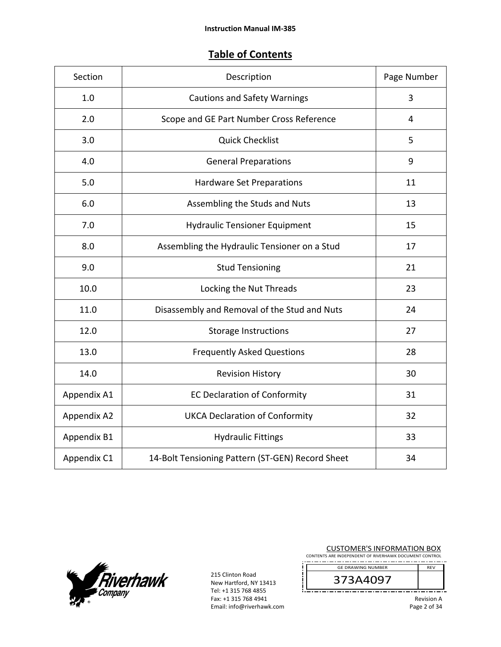# **Table of Contents**

| Section     | Description                                      | Page Number    |
|-------------|--------------------------------------------------|----------------|
| 1.0         | <b>Cautions and Safety Warnings</b>              | 3              |
| 2.0         | Scope and GE Part Number Cross Reference         | $\overline{4}$ |
| 3.0         | <b>Quick Checklist</b>                           | 5              |
| 4.0         | <b>General Preparations</b>                      | 9              |
| 5.0         | <b>Hardware Set Preparations</b>                 | 11             |
| 6.0         | Assembling the Studs and Nuts                    | 13             |
| 7.0         | <b>Hydraulic Tensioner Equipment</b>             | 15             |
| 8.0         | Assembling the Hydraulic Tensioner on a Stud     | 17             |
| 9.0         | <b>Stud Tensioning</b>                           | 21             |
| 10.0        | Locking the Nut Threads                          | 23             |
| 11.0        | Disassembly and Removal of the Stud and Nuts     | 24             |
| 12.0        | <b>Storage Instructions</b>                      | 27             |
| 13.0        | <b>Frequently Asked Questions</b>                | 28             |
| 14.0        | <b>Revision History</b>                          | 30             |
| Appendix A1 | <b>EC Declaration of Conformity</b>              | 31             |
| Appendix A2 | <b>UKCA Declaration of Conformity</b>            | 32             |
| Appendix B1 | <b>Hydraulic Fittings</b>                        | 33             |
| Appendix C1 | 14-Bolt Tensioning Pattern (ST-GEN) Record Sheet | 34             |



215 Clinton Road New Hartford, NY 13413 Tel: +1 315 768 4855 Fax: +1 315 768 4941 Email: info@riverhawk.com

<u>!L</u>

| <b>CUSTOMER'S INFORMATION BOX</b><br>CONTENTS ARE INDEPENDENT OF RIVERHAWK DOCUMENT CONTROL |            |
|---------------------------------------------------------------------------------------------|------------|
| <b>GE DRAWING NUMBER</b>                                                                    | <b>RFV</b> |
| 373A4097                                                                                    |            |

-------

Revision A Page 2 of 34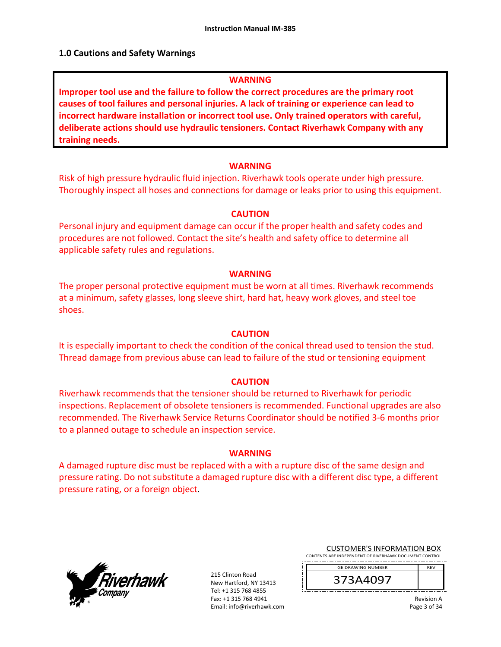#### **1.0 Cautions and Safety Warnings**

#### **WARNING**

**Improper tool use and the failure to follow the correct procedures are the primary root causes of tool failures and personal injuries. A lack of training or experience can lead to incorrect hardware installation or incorrect tool use. Only trained operators with careful, deliberate actions should use hydraulic tensioners. Contact Riverhawk Company with any training needs.** 

#### **WARNING**

Risk of high pressure hydraulic fluid injection. Riverhawk tools operate under high pressure. Thoroughly inspect all hoses and connections for damage or leaks prior to using this equipment.

#### **CAUTION**

Personal injury and equipment damage can occur if the proper health and safety codes and procedures are not followed. Contact the site's health and safety office to determine all applicable safety rules and regulations.

#### **WARNING**

The proper personal protective equipment must be worn at all times. Riverhawk recommends at a minimum, safety glasses, long sleeve shirt, hard hat, heavy work gloves, and steel toe shoes.

#### **CAUTION**

It is especially important to check the condition of the conical thread used to tension the stud. Thread damage from previous abuse can lead to failure of the stud or tensioning equipment

#### **CAUTION**

Riverhawk recommends that the tensioner should be returned to Riverhawk for periodic inspections. Replacement of obsolete tensioners is recommended. Functional upgrades are also recommended. The Riverhawk Service Returns Coordinator should be notified 3‐6 months prior to a planned outage to schedule an inspection service.

#### **WARNING**

A damaged rupture disc must be replaced with a with a rupture disc of the same design and pressure rating. Do not substitute a damaged rupture disc with a different disc type, a different pressure rating, or a foreign object.



215 Clinton Road New Hartford, NY 13413 Tel: +1 315 768 4855 Fax: +1 315 768 4941 Email: info@riverhawk.com

| <b>CUSTOMER'S INFORMATION BOX</b>                      |  |  |
|--------------------------------------------------------|--|--|
| CONTENTS ARE INDEPENDENT OF RIVERHAWK DOCUMENT CONTROL |  |  |

REV GE DRAWING NUMBER

373A4097

Revision A Page 3 of 34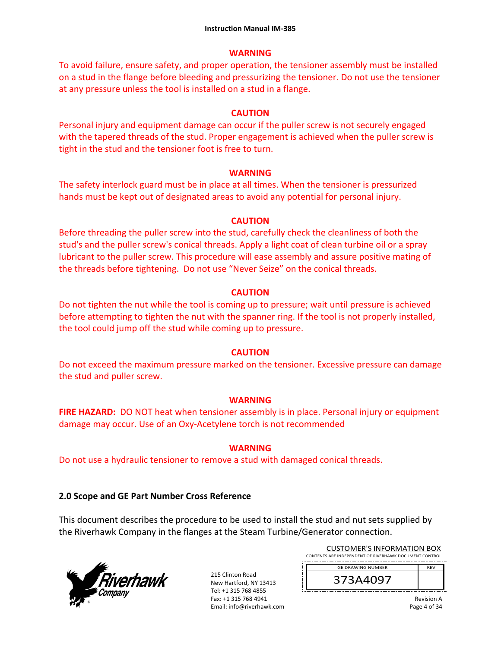#### **WARNING**

To avoid failure, ensure safety, and proper operation, the tensioner assembly must be installed on a stud in the flange before bleeding and pressurizing the tensioner. Do not use the tensioner at any pressure unless the tool is installed on a stud in a flange.

## **CAUTION**

Personal injury and equipment damage can occur if the puller screw is not securely engaged with the tapered threads of the stud. Proper engagement is achieved when the puller screw is tight in the stud and the tensioner foot is free to turn.

### **WARNING**

The safety interlock guard must be in place at all times. When the tensioner is pressurized hands must be kept out of designated areas to avoid any potential for personal injury.

## **CAUTION**

Before threading the puller screw into the stud, carefully check the cleanliness of both the stud's and the puller screw's conical threads. Apply a light coat of clean turbine oil or a spray lubricant to the puller screw. This procedure will ease assembly and assure positive mating of the threads before tightening. Do not use "Never Seize" on the conical threads.

### **CAUTION**

Do not tighten the nut while the tool is coming up to pressure; wait until pressure is achieved before attempting to tighten the nut with the spanner ring. If the tool is not properly installed, the tool could jump off the stud while coming up to pressure.

## **CAUTION**

Do not exceed the maximum pressure marked on the tensioner. Excessive pressure can damage the stud and puller screw.

## **WARNING**

**FIRE HAZARD:** DO NOT heat when tensioner assembly is in place. Personal injury or equipment damage may occur. Use of an Oxy‐Acetylene torch is not recommended

## **WARNING**

Do not use a hydraulic tensioner to remove a stud with damaged conical threads.

## **2.0 Scope and GE Part Number Cross Reference**

This document describes the procedure to be used to install the stud and nut sets supplied by the Riverhawk Company in the flanges at the Steam Turbine/Generator connection.



215 Clinton Road New Hartford, NY 13413 Tel: +1 315 768 4855 Fax: +1 315 768 4941 Email: info@riverhawk.com

| <b>GE DRAWING NUMBER</b>                               | <b>RFV</b> |
|--------------------------------------------------------|------------|
| CONTENTS ARE INDEPENDENT OF RIVERHAWK DOCUMENT CONTROL |            |
| CUSTUIVIEN 3 INFUNIVIATIUN BUA                         |            |

CUCTOMER'S INFORMATION BOY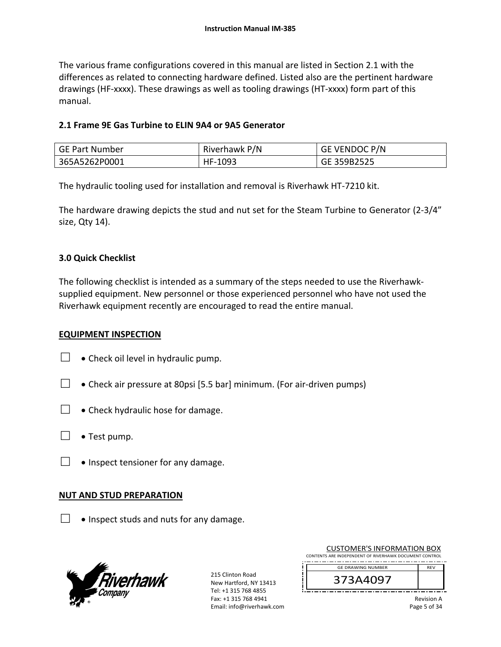The various frame configurations covered in this manual are listed in Section 2.1 with the differences as related to connecting hardware defined. Listed also are the pertinent hardware drawings (HF‐xxxx). These drawings as well as tooling drawings (HT‐xxxx) form part of this manual.

#### **2.1 Frame 9E Gas Turbine to ELIN 9A4 or 9A5 Generator**

| <b>GE Part Number</b> | Riverhawk P/N | <b>GE VENDOC P/N</b> |
|-----------------------|---------------|----------------------|
| 365A5262P0001         | HF-1093       | GE 359B2525          |

The hydraulic tooling used for installation and removal is Riverhawk HT‐7210 kit.

The hardware drawing depicts the stud and nut set for the Steam Turbine to Generator (2‐3/4" size, Qty 14).

### **3.0 Quick Checklist**

The following checklist is intended as a summary of the steps needed to use the Riverhawk‐ supplied equipment. New personnel or those experienced personnel who have not used the Riverhawk equipment recently are encouraged to read the entire manual.

#### **EQUIPMENT INSPECTION**

- $\Box \bullet$  Check oil level in hydraulic pump.
- $□$  Check air pressure at 80psi [5.5 bar] minimum. (For air-driven pumps)
- $\Box \bullet$  Check hydraulic hose for damage.
- $\Box \bullet$  Test pump.
- $\Box \bullet$  Inspect tensioner for any damage.

#### **NUT AND STUD PREPARATION**

 $\Box \bullet$  Inspect studs and nuts for any damage.



| <b>CUSTOMER'S INFORMATION BOX</b>                      |  |
|--------------------------------------------------------|--|
| CONTENTS ARE INDEPENDENT OF RIVERHAWK DOCUMENT CONTROL |  |
| <b>GE DRAWING NUMBER</b><br><b>RFV</b>                 |  |
| 373A4097                                               |  |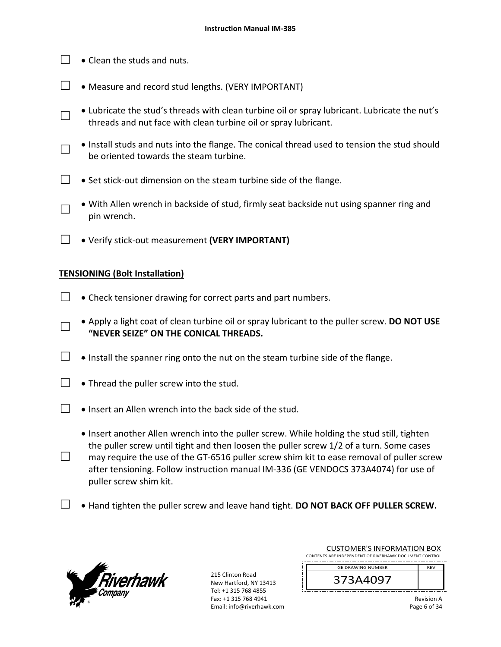- $\Box$   $\bullet$  Clean the studs and nuts.
- $\Box$  Measure and record stud lengths. (VERY IMPORTANT)
- □ Lubricate the stud's threads with clean turbine oil or spray lubricant. Lubricate the nut's threads and nut face with clean turbine oil or spray lubricant.
- □ Install studs and nuts into the flange. The conical thread used to tension the stud should be oriented towards the steam turbine.
- □ Set stick-out dimension on the steam turbine side of the flange.
- □ • With Allen wrench in backside of stud, firmly seat backside nut using spanner ring and pin wrench.
- □ Verify stick‐out measurement **(VERY IMPORTANT)**

## **TENSIONING (Bolt Installation)**

- $\Box$   $\bullet$  Check tensioner drawing for correct parts and part numbers.
- □ Apply a light coat of clean turbine oil or spray lubricant to the puller screw. **DO NOT USE "NEVER SEIZE" ON THE CONICAL THREADS.**
- $□ \bullet$  Install the spanner ring onto the nut on the steam turbine side of the flange.
- $\Box$  Thread the puller screw into the stud.
- □  $\bullet$  Insert an Allen wrench into the back side of the stud.
	- Insert another Allen wrench into the puller screw. While holding the stud still, tighten the puller screw until tight and then loosen the puller screw 1/2 of a turn. Some cases
- □ may require the use of the GT-6516 puller screw shim kit to ease removal of puller screw after tensioning. Follow instruction manual IM‐336 (GE VENDOCS 373A4074) for use of puller screw shim kit.
- $\Box$   $\bullet$  Hand tighten the puller screw and leave hand tight. **DO NOT BACK OFF PULLER SCREW.**



215 Clinton Road New Hartford, NY 13413 Tel: +1 315 768 4855 Fax: +1 315 768 4941 Email: info@riverhawk.com

| CONTENTS ARE INDEPENDENT OF RIVERHAWK DOCUMENT CONTROL<br><b>GE DRAWING NUMBER</b><br><b>RFV</b><br>373A4097 | COSTOIVIER 3 INFORMATION BOA |  |
|--------------------------------------------------------------------------------------------------------------|------------------------------|--|
|                                                                                                              |                              |  |
|                                                                                                              |                              |  |
|                                                                                                              |                              |  |

CUSTOMER'S INFORMATION BOY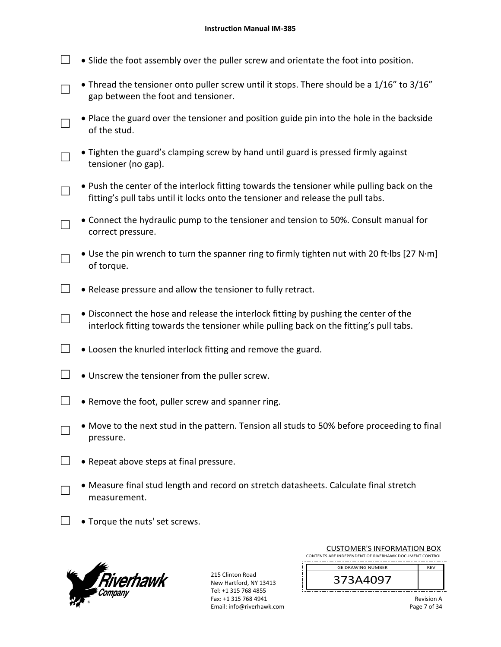- $\Box$   $\bullet$  Slide the foot assembly over the puller screw and orientate the foot into position.
- □ • Thread the tensioner onto puller screw until it stops. There should be a 1/16" to 3/16" gap between the foot and tensioner.
- □ Place the guard over the tensioner and position guide pin into the hole in the backside of the stud.
- □ Tighten the guard's clamping screw by hand until guard is pressed firmly against tensioner (no gap).
- □ • Push the center of the interlock fitting towards the tensioner while pulling back on the fitting's pull tabs until it locks onto the tensioner and release the pull tabs.
- □ Connect the hydraulic pump to the tensioner and tension to 50%. Consult manual for correct pressure.
- □ Use the pin wrench to turn the spanner ring to firmly tighten nut with 20 ft∙lbs [27 N∙m] of torque.
- $\Box$  Release pressure and allow the tensioner to fully retract.
- □ Disconnect the hose and release the interlock fitting by pushing the center of the interlock fitting towards the tensioner while pulling back on the fitting's pull tabs.
- $\Box$   $\bullet$  Loosen the knurled interlock fitting and remove the guard.
- $\Box$   $\bullet$  Unscrew the tensioner from the puller screw.
- $\Box$  . Remove the foot, puller screw and spanner ring.
- □ Move to the next stud in the pattern. Tension all studs to 50% before proceeding to final pressure.
- $\Box \bullet$  Repeat above steps at final pressure.
	- Measure final stud length and record on stretch datasheets. Calculate final stretch measurement.
- $\Box$   $\bullet$  Torque the nuts' set screws.



□

215 Clinton Road New Hartford, NY 13413 Tel: +1 315 768 4855 Fax: +1 315 768 4941 Email: info@riverhawk.com

ļЦ.

| <b>CUSTOMER'S INFORMATION BOX</b>                      |            |
|--------------------------------------------------------|------------|
| CONTENTS ARE INDEPENDENT OF RIVERHAWK DOCUMENT CONTROL |            |
| <b>GE DRAWING NUMBER</b>                               | <b>RFV</b> |
| 373A4097                                               |            |

Revision A Page 7 of 34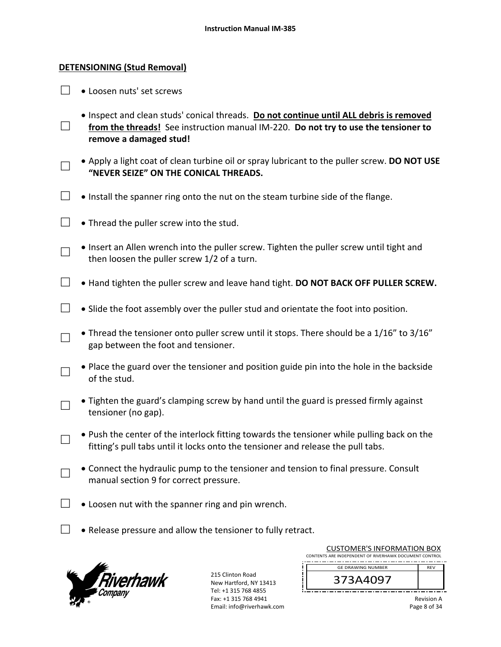#### **DETENSIONING (Stud Removal)**

 $\Box \bullet$  Loosen nuts' set screws

□

□

□

- Inspect and clean studs' conical threads. **Do not continue until ALL debris is removed from the threads!** See instruction manual IM‐220. **Do not try to use the tensioner to remove a damaged stud!**
- □ Apply a light coat of clean turbine oil or spray lubricant to the puller screw. **DO NOT USE "NEVER SEIZE" ON THE CONICAL THREADS.**
- $\Box$   $\bullet$  Install the spanner ring onto the nut on the steam turbine side of the flange.
- $\Box$  Thread the puller screw into the stud.
	- Insert an Allen wrench into the puller screw. Tighten the puller screw until tight and then loosen the puller screw 1/2 of a turn.
- □ Hand tighten the puller screw and leave hand tight. **DO NOT BACK OFF PULLER SCREW.**
- $\Box$   $\bullet$  Slide the foot assembly over the puller stud and orientate the foot into position.
- □ • Thread the tensioner onto puller screw until it stops. There should be a 1/16" to 3/16" gap between the foot and tensioner.
- □ • Place the guard over the tensioner and position guide pin into the hole in the backside of the stud.
- □ • Tighten the guard's clamping screw by hand until the guard is pressed firmly against tensioner (no gap).
	- Push the center of the interlock fitting towards the tensioner while pulling back on the fitting's pull tabs until it locks onto the tensioner and release the pull tabs.
- □ Connect the hydraulic pump to the tensioner and tension to final pressure. Consult manual section 9 for correct pressure.
- $\Box$   $\bullet$  Loosen nut with the spanner ring and pin wrench.
- $\Box$  Release pressure and allow the tensioner to fully retract.



| <b>CUSTOMER'S INFORMATION BOX</b><br>CONTENTS ARE INDEPENDENT OF RIVERHAWK DOCUMENT CONTROL |            |
|---------------------------------------------------------------------------------------------|------------|
| <b>GE DRAWING NUMBER</b>                                                                    | <b>RFV</b> |
| 373A4097                                                                                    |            |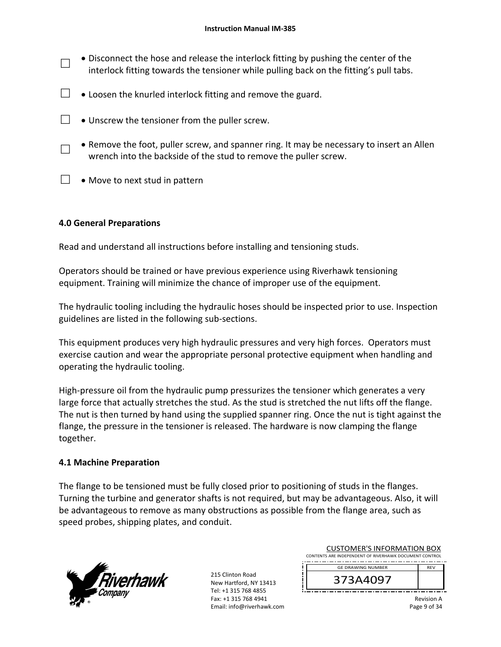- □ Disconnect the hose and release the interlock fitting by pushing the center of the interlock fitting towards the tensioner while pulling back on the fitting's pull tabs.
- $\Box$   $\bullet$  Loosen the knurled interlock fitting and remove the guard.
- $\Box$   $\bullet$  Unscrew the tensioner from the puller screw.
- □ • Remove the foot, puller screw, and spanner ring. It may be necessary to insert an Allen wrench into the backside of the stud to remove the puller screw.
- $\Box \bullet$  Move to next stud in pattern

## **4.0 General Preparations**

Read and understand all instructions before installing and tensioning studs.

Operators should be trained or have previous experience using Riverhawk tensioning equipment. Training will minimize the chance of improper use of the equipment.

The hydraulic tooling including the hydraulic hoses should be inspected prior to use. Inspection guidelines are listed in the following sub‐sections.

This equipment produces very high hydraulic pressures and very high forces. Operators must exercise caution and wear the appropriate personal protective equipment when handling and operating the hydraulic tooling.

High-pressure oil from the hydraulic pump pressurizes the tensioner which generates a very large force that actually stretches the stud. As the stud is stretched the nut lifts off the flange. The nut is then turned by hand using the supplied spanner ring. Once the nut is tight against the flange, the pressure in the tensioner is released. The hardware is now clamping the flange together.

#### **4.1 Machine Preparation**

The flange to be tensioned must be fully closed prior to positioning of studs in the flanges. Turning the turbine and generator shafts is not required, but may be advantageous. Also, it will be advantageous to remove as many obstructions as possible from the flange area, such as speed probes, shipping plates, and conduit.



215 Clinton Road New Hartford, NY 13413 Tel: +1 315 768 4855 Fax: +1 315 768 4941 Email: info@riverhawk.com

| <b>CUSTOMER'S INFORMATION BOX</b><br>CONTENTS ARE INDEPENDENT OF RIVERHAWK DOCUMENT CONTROL |            |
|---------------------------------------------------------------------------------------------|------------|
| <b>GE DRAWING NUMBER</b>                                                                    | <b>RFV</b> |
| 373 * * ^ ^ 7                                                                               |            |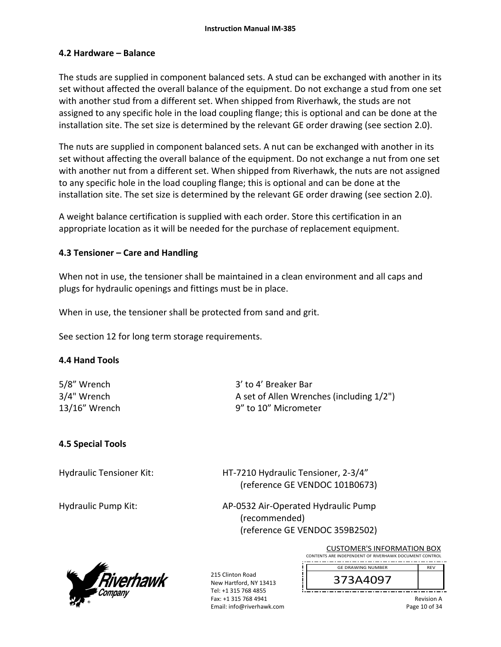#### **4.2 Hardware – Balance**

The studs are supplied in component balanced sets. A stud can be exchanged with another in its set without affected the overall balance of the equipment. Do not exchange a stud from one set with another stud from a different set. When shipped from Riverhawk, the studs are not assigned to any specific hole in the load coupling flange; this is optional and can be done at the installation site. The set size is determined by the relevant GE order drawing (see section 2.0).

The nuts are supplied in component balanced sets. A nut can be exchanged with another in its set without affecting the overall balance of the equipment. Do not exchange a nut from one set with another nut from a different set. When shipped from Riverhawk, the nuts are not assigned to any specific hole in the load coupling flange; this is optional and can be done at the installation site. The set size is determined by the relevant GE order drawing (see section 2.0).

A weight balance certification is supplied with each order. Store this certification in an appropriate location as it will be needed for the purchase of replacement equipment.

### **4.3 Tensioner – Care and Handling**

When not in use, the tensioner shall be maintained in a clean environment and all caps and plugs for hydraulic openings and fittings must be in place.

When in use, the tensioner shall be protected from sand and grit.

See section 12 for long term storage requirements.

#### **4.4 Hand Tools**

5/8" Wrench 3' to 4' Breaker Bar 3/4" Wrench A set of Allen Wrenches (including 1/2") 13/16" Wrench 9" to 10" Micrometer

## **4.5 Special Tools**

Hydraulic Tensioner Kit: 
HT-7210 Hydraulic Tensioner, 2-3/4" (reference GE VENDOC 101B0673)

Hydraulic Pump Kit: 
and AP-0532 Air-Operated Hydraulic Pump (recommended) (reference GE VENDOC 359B2502)



215 Clinton Road New Hartford, NY 13413 Tel: +1 315 768 4855 Fax: +1 315 768 4941 Email: info@riverhawk.com

CUSTOMER'S INFORMATION BOX CONTENTS ARE INDEPENDENT OF RIVERHAWK DOCUMENT CONTROL ----------------GE DRAWING NUMBER REV

373A4097

Revision A Page 10 of 34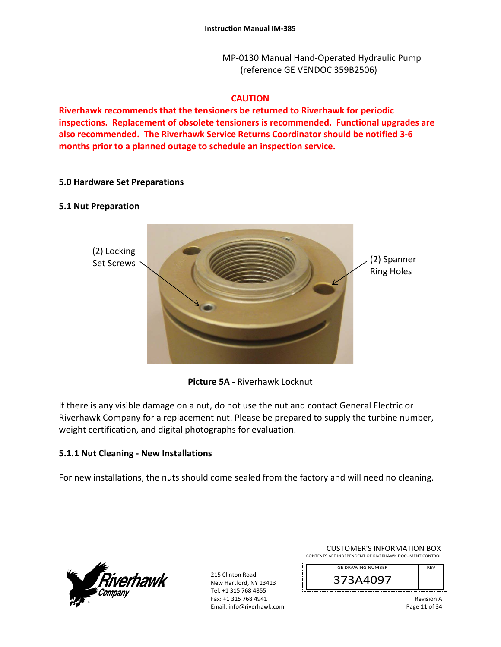MP‐0130 Manual Hand‐Operated Hydraulic Pump (reference GE VENDOC 359B2506)

#### **CAUTION**

**Riverhawk recommends that the tensioners be returned to Riverhawk for periodic inspections. Replacement of obsolete tensioners is recommended. Functional upgrades are also recommended. The Riverhawk Service Returns Coordinator should be notified 3‐6 months prior to a planned outage to schedule an inspection service.** 

#### **5.0 Hardware Set Preparations**

#### **5.1 Nut Preparation**



**Picture 5A** ‐ Riverhawk Locknut

If there is any visible damage on a nut, do not use the nut and contact General Electric or Riverhawk Company for a replacement nut. Please be prepared to supply the turbine number, weight certification, and digital photographs for evaluation.

#### **5.1.1 Nut Cleaning ‐ New Installations**

For new installations, the nuts should come sealed from the factory and will need no cleaning.



215 Clinton Road New Hartford, NY 13413 Tel: +1 315 768 4855 Fax: +1 315 768 4941 Email: info@riverhawk.com

| CUSTUMER S INFORMATION BUX                             |            |  |
|--------------------------------------------------------|------------|--|
| CONTENTS ARE INDEPENDENT OF RIVERHAWK DOCUMENT CONTROL |            |  |
| <b>GE DRAWING NUMBER</b>                               | <b>RFV</b> |  |
| 373A4097                                               |            |  |

CUCTOMER'S INFORMATION BOY

Revision A Page 11 of 34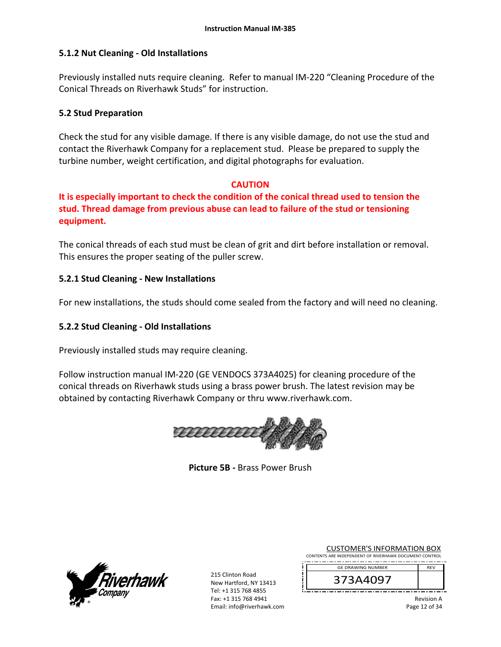### **5.1.2 Nut Cleaning ‐ Old Installations**

Previously installed nuts require cleaning. Refer to manual IM‐220 "Cleaning Procedure of the Conical Threads on Riverhawk Studs" for instruction.

#### **5.2 Stud Preparation**

Check the stud for any visible damage. If there is any visible damage, do not use the stud and contact the Riverhawk Company for a replacement stud. Please be prepared to supply the turbine number, weight certification, and digital photographs for evaluation.

#### **CAUTION**

**It is especially important to check the condition of the conical thread used to tension the stud. Thread damage from previous abuse can lead to failure of the stud or tensioning equipment.**

The conical threads of each stud must be clean of grit and dirt before installation or removal. This ensures the proper seating of the puller screw.

### **5.2.1 Stud Cleaning ‐ New Installations**

For new installations, the studs should come sealed from the factory and will need no cleaning.

## **5.2.2 Stud Cleaning ‐ Old Installations**

Previously installed studs may require cleaning.

Follow instruction manual IM‐220 (GE VENDOCS 373A4025) for cleaning procedure of the conical threads on Riverhawk studs using a brass power brush. The latest revision may be obtained by contacting Riverhawk Company or thru www.riverhawk.com.



**Picture 5B ‐** Brass Power Brush



215 Clinton Road New Hartford, NY 13413 Tel: +1 315 768 4855 Fax: +1 315 768 4941 Email: info@riverhawk.com

|  | <b>CUSTOMER'S INFORMATION BOX</b>                      |  |  |  |
|--|--------------------------------------------------------|--|--|--|
|  | CONTENTS ARE INDEPENDENT OF RIVERHAWK DOCUMENT CONTROL |  |  |  |

REV GE DRAWING NUMBER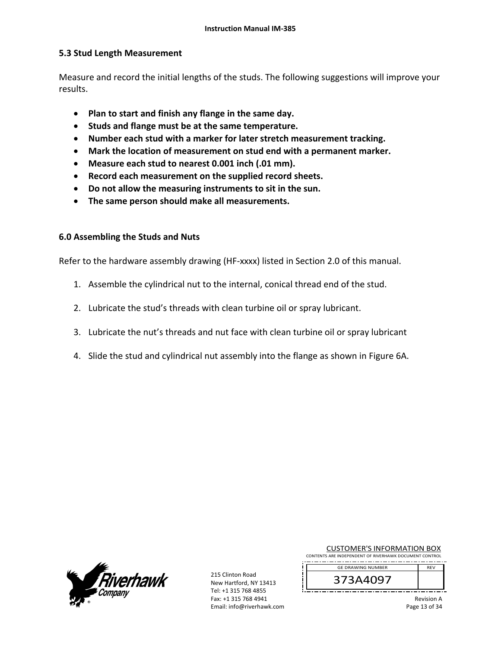### **5.3 Stud Length Measurement**

Measure and record the initial lengths of the studs. The following suggestions will improve your results.

- **Plan to start and finish any flange in the same day.**
- **Studs and flange must be at the same temperature.**
- **Number each stud with a marker for later stretch measurement tracking.**
- **Mark the location of measurement on stud end with a permanent marker.**
- **Measure each stud to nearest 0.001 inch (.01 mm).**
- **Record each measurement on the supplied record sheets.**
- **Do not allow the measuring instruments to sit in the sun.**
- **The same person should make all measurements.**

#### **6.0 Assembling the Studs and Nuts**

Refer to the hardware assembly drawing (HF-xxxx) listed in Section 2.0 of this manual.

- 1. Assemble the cylindrical nut to the internal, conical thread end of the stud.
- 2. Lubricate the stud's threads with clean turbine oil or spray lubricant.
- 3. Lubricate the nut's threads and nut face with clean turbine oil or spray lubricant
- 4. Slide the stud and cylindrical nut assembly into the flange as shown in Figure 6A.



215 Clinton Road New Hartford, NY 13413 Tel: +1 315 768 4855 Fax: +1 315 768 4941 Email: info@riverhawk.com

| <b>CUSTOMER'S INFORMATION BOX</b>                      |  |  |
|--------------------------------------------------------|--|--|
| CONTENTS ARE INDEPENDENT OF RIVERHAWK DOCUMENT CONTROL |  |  |

REV GE DRAWING NUMBER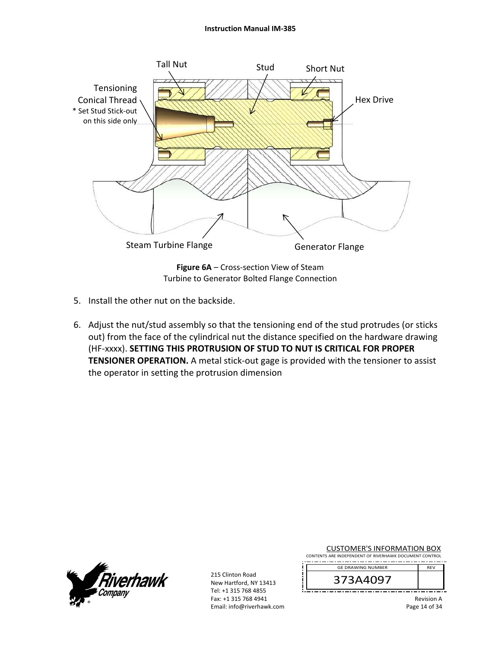#### **Instruction Manual IM‐385**



Turbine to Generator Bolted Flange Connection

- 5. Install the other nut on the backside.
- 6. Adjust the nut/stud assembly so that the tensioning end of the stud protrudes (or sticks out) from the face of the cylindrical nut the distance specified on the hardware drawing (HF‐xxxx). **SETTING THIS PROTRUSION OF STUD TO NUT IS CRITICAL FOR PROPER TENSIONER OPERATION.** A metal stick-out gage is provided with the tensioner to assist the operator in setting the protrusion dimension



215 Clinton Road New Hartford, NY 13413 Tel: +1 315 768 4855 Fax: +1 315 768 4941 Email: info@riverhawk.com CUSTOMER'S INFORMATION BOX

CONTENTS ARE INDEPENDENT OF RIVERHAWK DOCUMENT CONTROL . . . . . . . . . . . . . . . . . GE DRAWING NUMBER REV

373A4097

Revision A Page 14 of 34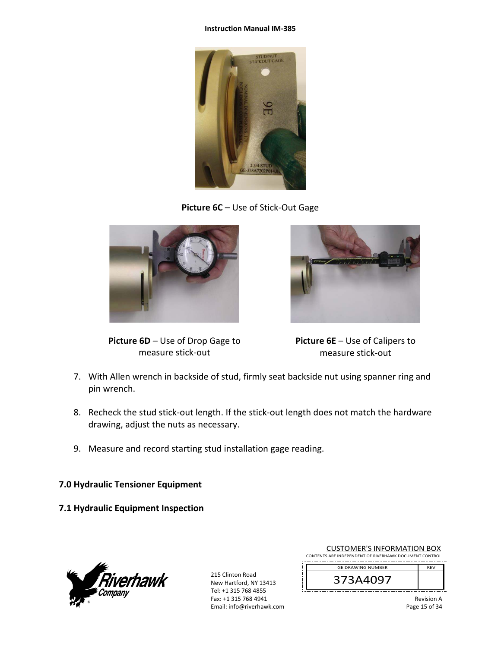#### **Instruction Manual IM‐385**



**Picture 6C** – Use of Stick‐Out Gage



**Picture 6D** – Use of Drop Gage to measure stick‐out



**Picture 6E** – Use of Calipers to measure stick‐out

- 7. With Allen wrench in backside of stud, firmly seat backside nut using spanner ring and pin wrench.
- 8. Recheck the stud stick-out length. If the stick-out length does not match the hardware drawing, adjust the nuts as necessary.
- 9. Measure and record starting stud installation gage reading.

## **7.0 Hydraulic Tensioner Equipment**

**7.1 Hydraulic Equipment Inspection** 



215 Clinton Road New Hartford, NY 13413 Tel: +1 315 768 4855 Fax: +1 315 768 4941 Email: info@riverhawk.com

| CUSTUMER S INFORMATION BUX<br>CONTENTS ARE INDEPENDENT OF RIVERHAWK DOCUMENT CONTROL |            |
|--------------------------------------------------------------------------------------|------------|
| <b>GE DRAWING NUMBER</b>                                                             | <b>RFV</b> |
|                                                                                      |            |

CUCTOMER'S INFORMATION BOY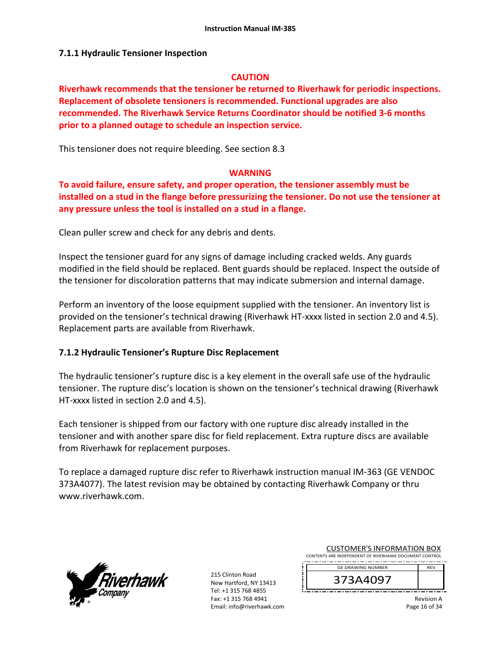#### **7.1.1 Hydraulic Tensioner Inspection**

#### **CAUTION**

**Riverhawk recommends that the tensioner be returned to Riverhawk for periodic inspections. Replacement of obsolete tensioners is recommended. Functional upgrades are also recommended. The Riverhawk Service Returns Coordinator should be notified 3‐6 months prior to a planned outage to schedule an inspection service.** 

This tensioner does not require bleeding. See section 8.3

#### **WARNING**

**To avoid failure, ensure safety, and proper operation, the tensioner assembly must be installed on a stud in the flange before pressurizing the tensioner. Do not use the tensioner at any pressure unless the tool is installed on a stud in a flange.** 

Clean puller screw and check for any debris and dents.

Inspect the tensioner guard for any signs of damage including cracked welds. Any guards modified in the field should be replaced. Bent guards should be replaced. Inspect the outside of the tensioner for discoloration patterns that may indicate submersion and internal damage.

Perform an inventory of the loose equipment supplied with the tensioner. An inventory list is provided on the tensioner's technical drawing (Riverhawk HT‐xxxx listed in section 2.0 and 4.5). Replacement parts are available from Riverhawk.

#### **7.1.2 Hydraulic Tensioner's Rupture Disc Replacement**

The hydraulic tensioner's rupture disc is a key element in the overall safe use of the hydraulic tensioner. The rupture disc's location is shown on the tensioner's technical drawing (Riverhawk HT-xxxx listed in section 2.0 and 4.5).

Each tensioner is shipped from our factory with one rupture disc already installed in the tensioner and with another spare disc for field replacement. Extra rupture discs are available from Riverhawk for replacement purposes.

To replace a damaged rupture disc refer to Riverhawk instruction manual IM‐363 (GE VENDOC 373A4077). The latest revision may be obtained by contacting Riverhawk Company or thru www.riverhawk.com.



215 Clinton Road New Hartford, NY 13413 Tel: +1 315 768 4855 Fax: +1 315 768 4941 Email: info@riverhawk.com

| <b>CUSTOMER'S INFORMATION BOX</b>                      |            |
|--------------------------------------------------------|------------|
| CONTENTS ARE INDEPENDENT OF RIVERHAWK DOCUMENT CONTROL |            |
| <b>GE DRAWING NUMBER</b>                               | <b>RFV</b> |
|                                                        |            |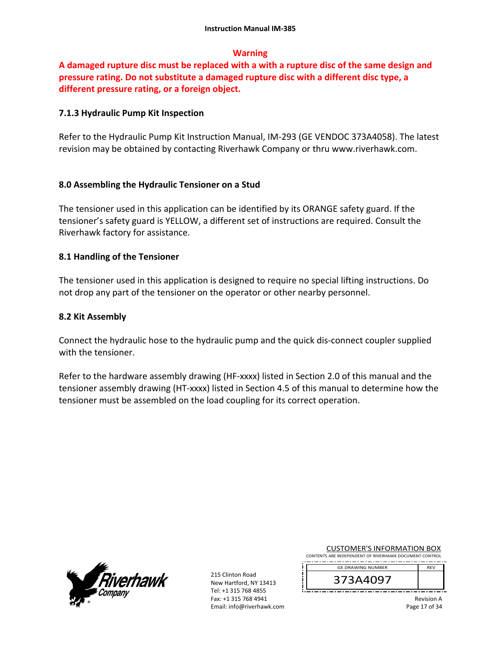### **Warning**

**A damaged rupture disc must be replaced with a with a rupture disc of the same design and pressure rating. Do not substitute a damaged rupture disc with a different disc type, a different pressure rating, or a foreign object.** 

### **7.1.3 Hydraulic Pump Kit Inspection**

Refer to the Hydraulic Pump Kit Instruction Manual, IM‐293 (GE VENDOC 373A4058). The latest revision may be obtained by contacting Riverhawk Company or thru www.riverhawk.com.

### **8.0 Assembling the Hydraulic Tensioner on a Stud**

The tensioner used in this application can be identified by its ORANGE safety guard. If the tensioner's safety guard is YELLOW, a different set of instructions are required. Consult the Riverhawk factory for assistance.

### **8.1 Handling of the Tensioner**

The tensioner used in this application is designed to require no special lifting instructions. Do not drop any part of the tensioner on the operator or other nearby personnel.

#### **8.2 Kit Assembly**

Connect the hydraulic hose to the hydraulic pump and the quick dis‐connect coupler supplied with the tensioner.

Refer to the hardware assembly drawing (HF-xxxx) listed in Section 2.0 of this manual and the tensioner assembly drawing (HT‐xxxx) listed in Section 4.5 of this manual to determine how the tensioner must be assembled on the load coupling for its correct operation.



215 Clinton Road New Hartford, NY 13413 Tel: +1 315 768 4855 Fax: +1 315 768 4941 Email: info@riverhawk.com CUSTOMER'S INFORMATION BOX

CONTENTS ARE INDEPENDENT OF RIVERHAWK DOCUMENT CONTROL ----------------GE DRAWING NUMBER REV

373A4097

Revision A Page 17 of 34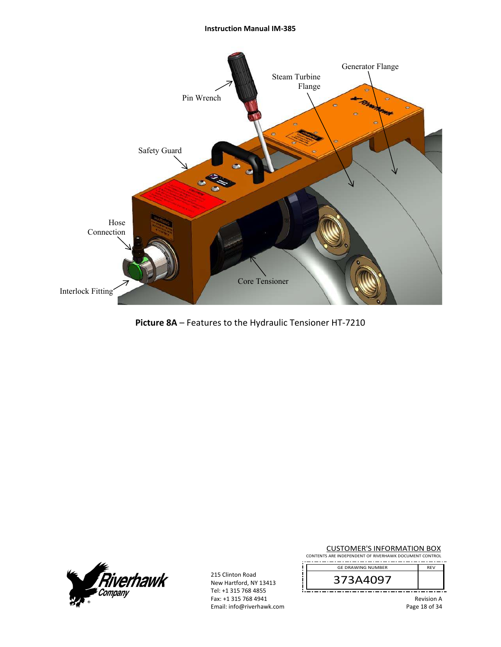#### **Instruction Manual IM‐385**



**Picture 8A** – Features to the Hydraulic Tensioner HT‐7210



215 Clinton Road New Hartford, NY 13413 Tel: +1 315 768 4855 Fax: +1 315 768 4941 Email: info@riverhawk.com CUSTOMER'S INFORMATION BOX

CONTENTS ARE INDEPENDENT OF RIVERHAWK DOCUMENT CONTROL . . . . . . . . . . GE DRAWING NUMBER REV

373A4097

Revision A Page 18 of 34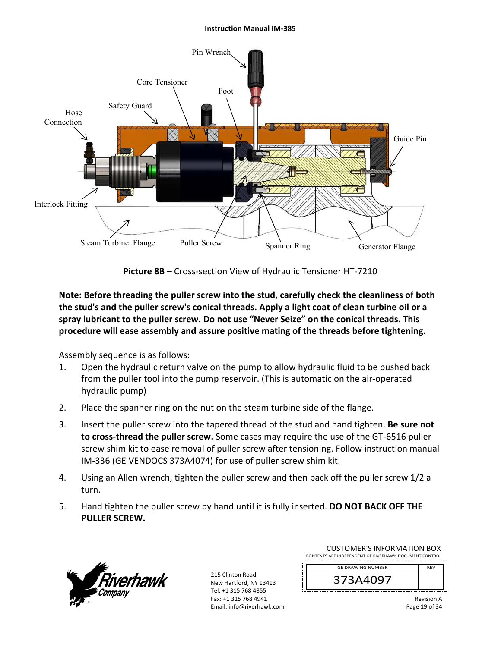#### **Instruction Manual IM‐385**



**Picture 8B** – Cross‐section View of Hydraulic Tensioner HT‐7210

**Note: Before threading the puller screw into the stud, carefully check the cleanliness of both the stud's and the puller screw's conical threads. Apply a light coat of clean turbine oil or a spray lubricant to the puller screw. Do not use "Never Seize" on the conical threads. This procedure will ease assembly and assure positive mating of the threads before tightening.** 

Assembly sequence is as follows:

- 1. Open the hydraulic return valve on the pump to allow hydraulic fluid to be pushed back from the puller tool into the pump reservoir. (This is automatic on the air‐operated hydraulic pump)
- 2. Place the spanner ring on the nut on the steam turbine side of the flange.
- 3. Insert the puller screw into the tapered thread of the stud and hand tighten. **Be sure not to cross‐thread the puller screw.** Some cases may require the use of the GT‐6516 puller screw shim kit to ease removal of puller screw after tensioning. Follow instruction manual IM‐336 (GE VENDOCS 373A4074) for use of puller screw shim kit.
- 4. Using an Allen wrench, tighten the puller screw and then back off the puller screw 1/2 a turn.
- 5. Hand tighten the puller screw by hand until it is fully inserted. **DO NOT BACK OFF THE PULLER SCREW.**



215 Clinton Road New Hartford, NY 13413 Tel: +1 315 768 4855 Fax: +1 315 768 4941 Email: info@riverhawk.com

| CUSTUIVIER 3 INFORMATION BOA                           |            |  |
|--------------------------------------------------------|------------|--|
| CONTENTS ARE INDEPENDENT OF RIVERHAWK DOCUMENT CONTROL |            |  |
|                                                        |            |  |
| <b>GE DRAWING NUMBER</b>                               | <b>RFV</b> |  |
| 373A4097                                               |            |  |

CUCTOMER'S INFORMATION BOY

Revision A Page 19 of 34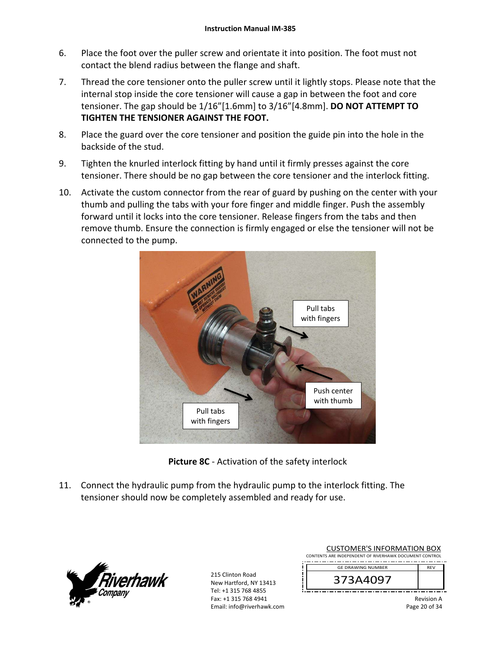- 6. Place the foot over the puller screw and orientate it into position. The foot must not contact the blend radius between the flange and shaft.
- 7. Thread the core tensioner onto the puller screw until it lightly stops. Please note that the internal stop inside the core tensioner will cause a gap in between the foot and core tensioner. The gap should be 1/16"[1.6mm] to 3/16"[4.8mm]. **DO NOT ATTEMPT TO TIGHTEN THE TENSIONER AGAINST THE FOOT.**
- 8. Place the guard over the core tensioner and position the guide pin into the hole in the backside of the stud.
- 9. Tighten the knurled interlock fitting by hand until it firmly presses against the core tensioner. There should be no gap between the core tensioner and the interlock fitting.
- 10. Activate the custom connector from the rear of guard by pushing on the center with your thumb and pulling the tabs with your fore finger and middle finger. Push the assembly forward until it locks into the core tensioner. Release fingers from the tabs and then remove thumb. Ensure the connection is firmly engaged or else the tensioner will not be connected to the pump.



**Picture 8C** ‐ Activation of the safety interlock

11. Connect the hydraulic pump from the hydraulic pump to the interlock fitting. The tensioner should now be completely assembled and ready for use.



| <b>CUSTOMER'S INFORMATION BOX</b><br>CONTENTS ARE INDEPENDENT OF RIVERHAWK DOCUMENT CONTROL |            |
|---------------------------------------------------------------------------------------------|------------|
| <b>GE DRAWING NUMBER</b>                                                                    | <b>RFV</b> |
| 373A4097                                                                                    |            |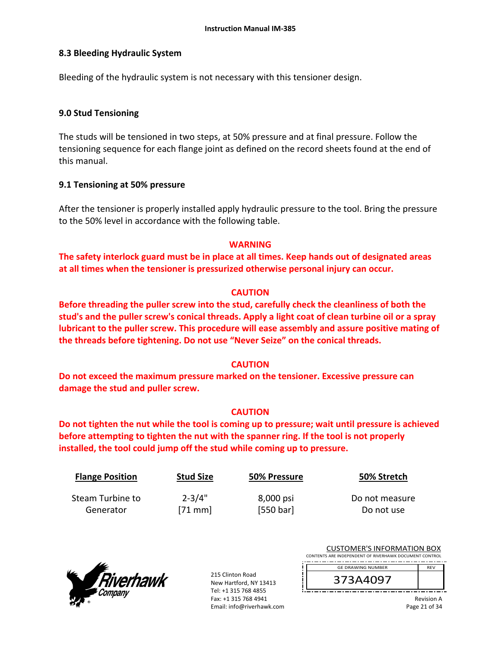#### **8.3 Bleeding Hydraulic System**

Bleeding of the hydraulic system is not necessary with this tensioner design.

#### **9.0 Stud Tensioning**

The studs will be tensioned in two steps, at 50% pressure and at final pressure. Follow the tensioning sequence for each flange joint as defined on the record sheets found at the end of this manual.

#### **9.1 Tensioning at 50% pressure**

After the tensioner is properly installed apply hydraulic pressure to the tool. Bring the pressure to the 50% level in accordance with the following table.

### **WARNING**

**The safety interlock guard must be in place at all times. Keep hands out of designated areas at all times when the tensioner is pressurized otherwise personal injury can occur.** 

### **CAUTION**

**Before threading the puller screw into the stud, carefully check the cleanliness of both the stud's and the puller screw's conical threads. Apply a light coat of clean turbine oil or a spray lubricant to the puller screw. This procedure will ease assembly and assure positive mating of the threads before tightening. Do not use "Never Seize" on the conical threads.** 

## **CAUTION**

**Do not exceed the maximum pressure marked on the tensioner. Excessive pressure can damage the stud and puller screw.** 

#### **CAUTION**

**Do not tighten the nut while the tool is coming up to pressure; wait until pressure is achieved before attempting to tighten the nut with the spanner ring. If the tool is not properly installed, the tool could jump off the stud while coming up to pressure.** 

| <b>Flange Position</b> | <b>Stud Size</b> | 50% Pressure | 50% Stretch    |
|------------------------|------------------|--------------|----------------|
| Steam Turbine to       | $2 - 3/4"$       | 8,000 psi    | Do not measure |
| Generator              | $[71$ mm         | [550 bar]    | Do not use     |



215 Clinton Road New Hartford, NY 13413 Tel: +1 315 768 4855 Fax: +1 315 768 4941 Email: info@riverhawk.com

| <b>CUSTOMER'S INFORMATION BOX</b>                      |            |
|--------------------------------------------------------|------------|
| CONTENTS ARE INDEPENDENT OF RIVERHAWK DOCUMENT CONTROL |            |
| <b>GE DRAWING NUMBER</b>                               | <b>RFV</b> |
|                                                        |            |

373A4097

Revision A Page 21 of 34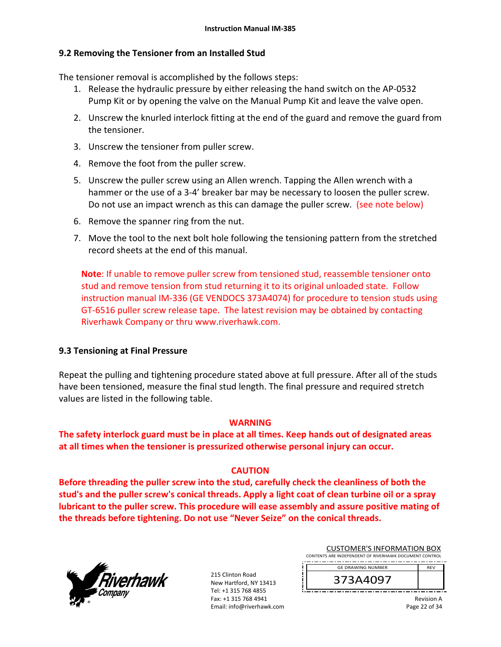## **9.2 Removing the Tensioner from an Installed Stud**

The tensioner removal is accomplished by the follows steps:

- 1. Release the hydraulic pressure by either releasing the hand switch on the AP‐0532 Pump Kit or by opening the valve on the Manual Pump Kit and leave the valve open.
- 2. Unscrew the knurled interlock fitting at the end of the guard and remove the guard from the tensioner.
- 3. Unscrew the tensioner from puller screw.
- 4. Remove the foot from the puller screw.
- 5. Unscrew the puller screw using an Allen wrench. Tapping the Allen wrench with a hammer or the use of a 3-4' breaker bar may be necessary to loosen the puller screw. Do not use an impact wrench as this can damage the puller screw. (see note below)
- 6. Remove the spanner ring from the nut.
- 7. Move the tool to the next bolt hole following the tensioning pattern from the stretched record sheets at the end of this manual.

**Note**: If unable to remove puller screw from tensioned stud, reassemble tensioner onto stud and remove tension from stud returning it to its original unloaded state. Follow instruction manual IM‐336 (GE VENDOCS 373A4074) for procedure to tension studs using GT‐6516 puller screw release tape. The latest revision may be obtained by contacting Riverhawk Company or thru www.riverhawk.com.

#### **9.3 Tensioning at Final Pressure**

Repeat the pulling and tightening procedure stated above at full pressure. After all of the studs have been tensioned, measure the final stud length. The final pressure and required stretch values are listed in the following table.

#### **WARNING**

**The safety interlock guard must be in place at all times. Keep hands out of designated areas at all times when the tensioner is pressurized otherwise personal injury can occur.** 

#### **CAUTION**

**Before threading the puller screw into the stud, carefully check the cleanliness of both the stud's and the puller screw's conical threads. Apply a light coat of clean turbine oil or a spray lubricant to the puller screw. This procedure will ease assembly and assure positive mating of the threads before tightening. Do not use "Never Seize" on the conical threads.** 



215 Clinton Road New Hartford, NY 13413 Tel: +1 315 768 4855 Fax: +1 315 768 4941 Email: info@riverhawk.com

| <b>CUSTOMER'S INFORMATION BOX</b>                      |  |
|--------------------------------------------------------|--|
| CONTENTS ARE INDEPENDENT OF RIVERHAWK DOCUMENT CONTROL |  |
| <b>GE DRAWING NUMBER</b><br><b>RFV</b>                 |  |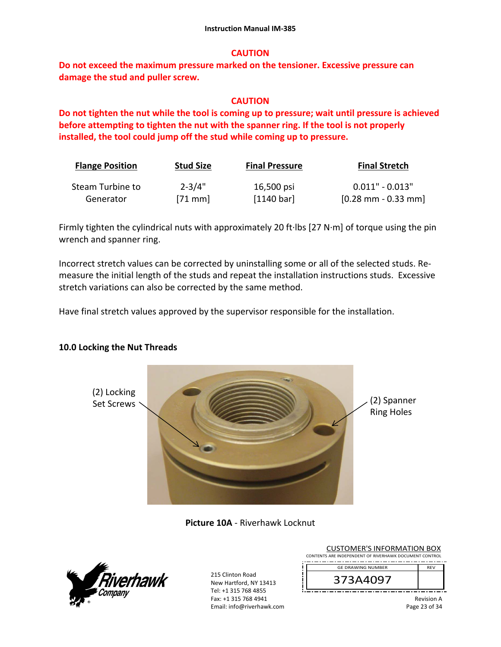## **CAUTION**

**Do not exceed the maximum pressure marked on the tensioner. Excessive pressure can damage the stud and puller screw.** 

### **CAUTION**

**Do not tighten the nut while the tool is coming up to pressure; wait until pressure is achieved before attempting to tighten the nut with the spanner ring. If the tool is not properly installed, the tool could jump off the stud while coming up to pressure.**

| <b>Flange Position</b> | <b>Stud Size</b> | <b>Final Pressure</b> | <b>Final Stretch</b>                  |
|------------------------|------------------|-----------------------|---------------------------------------|
| Steam Turbine to       | $2 - 3/4"$       | 16,500 psi            | $0.011" - 0.013"$                     |
| Generator              | $[71$ mm         | [1140 bar]            | $[0.28 \text{ mm} - 0.33 \text{ mm}]$ |

Firmly tighten the cylindrical nuts with approximately 20 ft∙lbs [27 N∙m] of torque using the pin wrench and spanner ring.

Incorrect stretch values can be corrected by uninstalling some or all of the selected studs. Re‐ measure the initial length of the studs and repeat the installation instructions studs. Excessive stretch variations can also be corrected by the same method.

Have final stretch values approved by the supervisor responsible for the installation.

#### **10.0 Locking the Nut Threads**



**Picture 10A** ‐ Riverhawk Locknut



| <b>CUSTOMER'S INFORMATION BOX</b>                      |            |
|--------------------------------------------------------|------------|
| CONTENTS ARE INDEPENDENT OF RIVERHAWK DOCUMENT CONTROL |            |
| <b>GE DRAWING NUMBER</b>                               | <b>RFV</b> |
|                                                        |            |

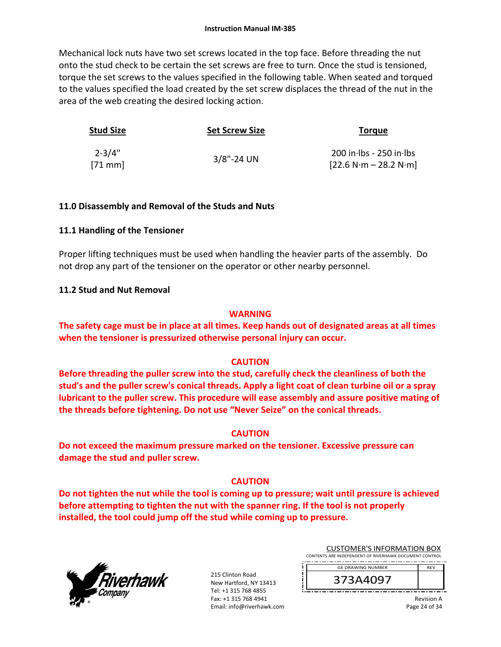Mechanical lock nuts have two set screws located in the top face. Before threading the nut onto the stud check to be certain the set screws are free to turn. Once the stud is tensioned, torque the set screws to the values specified in the following table. When seated and torqued to the values specified the load created by the set screw displaces the thread of the nut in the area of the web creating the desired locking action.

| Stud Size              | <b>Set Screw Size</b> | <b>Torque</b>                                        |
|------------------------|-----------------------|------------------------------------------------------|
| $2 - 3/4"$<br>$[71$ mm | $3/8$ "-24 UN         | $200$ in lbs - 250 in lbs<br>$[22.6 N·m - 28.2 N·m]$ |

#### **11.0 Disassembly and Removal of the Studs and Nuts**

#### **11.1 Handling of the Tensioner**

Proper lifting techniques must be used when handling the heavier parts of the assembly. Do not drop any part of the tensioner on the operator or other nearby personnel.

#### **11.2 Stud and Nut Removal**

#### **WARNING**

**The safety cage must be in place at all times. Keep hands out of designated areas at all times when the tensioner is pressurized otherwise personal injury can occur.** 

#### **CAUTION**

**Before threading the puller screw into the stud, carefully check the cleanliness of both the stud's and the puller screw's conical threads. Apply a light coat of clean turbine oil or a spray lubricant to the puller screw. This procedure will ease assembly and assure positive mating of the threads before tightening. Do not use "Never Seize" on the conical threads.** 

#### **CAUTION**

**Do not exceed the maximum pressure marked on the tensioner. Excessive pressure can damage the stud and puller screw.** 

#### **CAUTION**

**Do not tighten the nut while the tool is coming up to pressure; wait until pressure is achieved before attempting to tighten the nut with the spanner ring. If the tool is not properly installed, the tool could jump off the stud while coming up to pressure.** 



215 Clinton Road New Hartford, NY 13413 Tel: +1 315 768 4855 Fax: +1 315 768 4941 Email: info@riverhawk.com

| <b>CUSTOMER'S INFORMATION BOX</b>                      |            |  |
|--------------------------------------------------------|------------|--|
| CONTENTS ARE INDEPENDENT OF RIVERHAWK DOCUMENT CONTROL |            |  |
| п<br>ı<br><b>GE DRAWING NUMBER</b><br>٠                | <b>REV</b> |  |
|                                                        |            |  |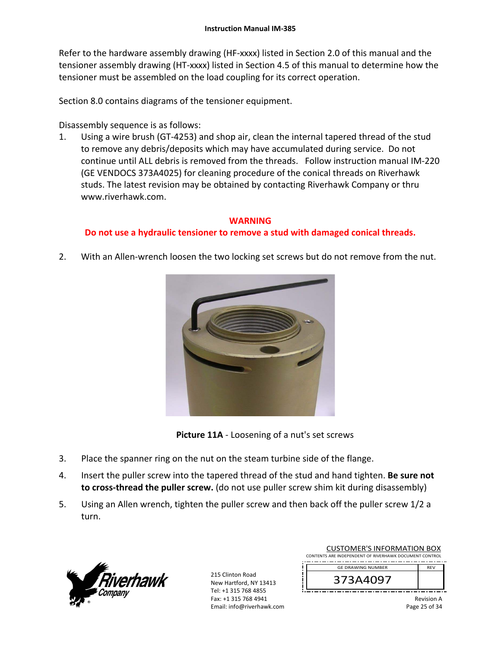Refer to the hardware assembly drawing (HF-xxxx) listed in Section 2.0 of this manual and the tensioner assembly drawing (HT‐xxxx) listed in Section 4.5 of this manual to determine how the tensioner must be assembled on the load coupling for its correct operation.

Section 8.0 contains diagrams of the tensioner equipment.

Disassembly sequence is as follows:

1. Using a wire brush (GT‐4253) and shop air, clean the internal tapered thread of the stud to remove any debris/deposits which may have accumulated during service. Do not continue until ALL debris is removed from the threads. Follow instruction manual IM‐220 (GE VENDOCS 373A4025) for cleaning procedure of the conical threads on Riverhawk studs. The latest revision may be obtained by contacting Riverhawk Company or thru www.riverhawk.com.

# **WARNING**

## **Do not use a hydraulic tensioner to remove a stud with damaged conical threads.**

2. With an Allen-wrench loosen the two locking set screws but do not remove from the nut.





- 3. Place the spanner ring on the nut on the steam turbine side of the flange.
- 4. Insert the puller screw into the tapered thread of the stud and hand tighten. **Be sure not to cross‐thread the puller screw.** (do not use puller screw shim kit during disassembly)
- 5. Using an Allen wrench, tighten the puller screw and then back off the puller screw 1/2 a turn.



| <b>CUSTOMER'S INFORMATION BOX</b>                      |            |  |
|--------------------------------------------------------|------------|--|
| CONTENTS ARE INDEPENDENT OF RIVERHAWK DOCUMENT CONTROL |            |  |
| <b>GE DRAWING NUMBER</b>                               | <b>RFV</b> |  |
| 373A4097                                               |            |  |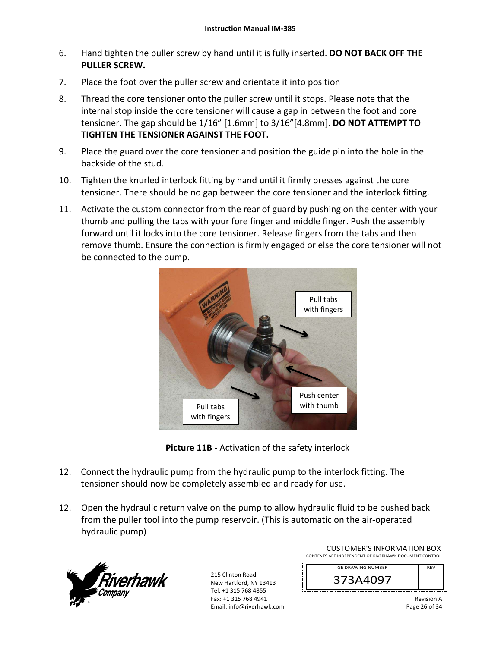- 6. Hand tighten the puller screw by hand until it is fully inserted. **DO NOT BACK OFF THE PULLER SCREW.**
- 7. Place the foot over the puller screw and orientate it into position
- 8. Thread the core tensioner onto the puller screw until it stops. Please note that the internal stop inside the core tensioner will cause a gap in between the foot and core tensioner. The gap should be 1/16" [1.6mm] to 3/16"[4.8mm]. **DO NOT ATTEMPT TO TIGHTEN THE TENSIONER AGAINST THE FOOT.**
- 9. Place the guard over the core tensioner and position the guide pin into the hole in the backside of the stud.
- 10. Tighten the knurled interlock fitting by hand until it firmly presses against the core tensioner. There should be no gap between the core tensioner and the interlock fitting.
- 11. Activate the custom connector from the rear of guard by pushing on the center with your thumb and pulling the tabs with your fore finger and middle finger. Push the assembly forward until it locks into the core tensioner. Release fingers from the tabs and then remove thumb. Ensure the connection is firmly engaged or else the core tensioner will not be connected to the pump.





- 12. Connect the hydraulic pump from the hydraulic pump to the interlock fitting. The tensioner should now be completely assembled and ready for use.
- 12. Open the hydraulic return valve on the pump to allow hydraulic fluid to be pushed back from the puller tool into the pump reservoir. (This is automatic on the air‐operated hydraulic pump)



| <b>CUSTOMER'S INFORMATION BOX</b>                      |                                      |  |
|--------------------------------------------------------|--------------------------------------|--|
| CONTENTS ARE INDEPENDENT OF RIVERHAWK DOCUMENT CONTROL |                                      |  |
|                                                        | <b>RFV</b>                           |  |
|                                                        |                                      |  |
|                                                        |                                      |  |
|                                                        |                                      |  |
|                                                        | <b>GE DRAWING NUMBER</b><br>373A4097 |  |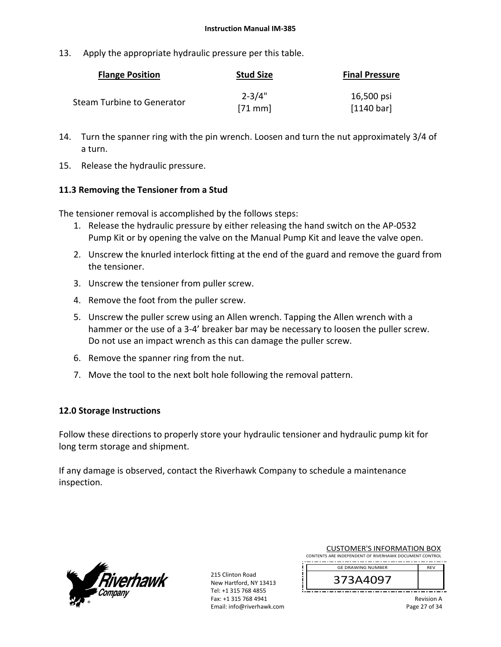13. Apply the appropriate hydraulic pressure per this table.

| <b>Flange Position</b>     | <b>Stud Size</b> | <b>Final Pressure</b> |
|----------------------------|------------------|-----------------------|
| Steam Turbine to Generator | $2 - 3/4"$       | 16,500 psi            |
|                            | $[71$ mm         | [1140 bar]            |

- 14. Turn the spanner ring with the pin wrench. Loosen and turn the nut approximately 3/4 of a turn.
- 15. Release the hydraulic pressure.

#### **11.3 Removing the Tensioner from a Stud**

The tensioner removal is accomplished by the follows steps:

- 1. Release the hydraulic pressure by either releasing the hand switch on the AP‐0532 Pump Kit or by opening the valve on the Manual Pump Kit and leave the valve open.
- 2. Unscrew the knurled interlock fitting at the end of the guard and remove the guard from the tensioner.
- 3. Unscrew the tensioner from puller screw.
- 4. Remove the foot from the puller screw.
- 5. Unscrew the puller screw using an Allen wrench. Tapping the Allen wrench with a hammer or the use of a 3‐4' breaker bar may be necessary to loosen the puller screw. Do not use an impact wrench as this can damage the puller screw.
- 6. Remove the spanner ring from the nut.
- 7. Move the tool to the next bolt hole following the removal pattern.

#### **12.0 Storage Instructions**

Follow these directions to properly store your hydraulic tensioner and hydraulic pump kit for long term storage and shipment.

If any damage is observed, contact the Riverhawk Company to schedule a maintenance inspection.



215 Clinton Road New Hartford, NY 13413 Tel: +1 315 768 4855 Fax: +1 315 768 4941 Email: info@riverhawk.com

| <b>CUSTOMER'S INFORMATION BOX</b>                      |            |  |
|--------------------------------------------------------|------------|--|
| CONTENTS ARE INDEPENDENT OF RIVERHAWK DOCUMENT CONTROL |            |  |
| <b>GE DRAWING NUMBER</b>                               | <b>RFV</b> |  |
|                                                        |            |  |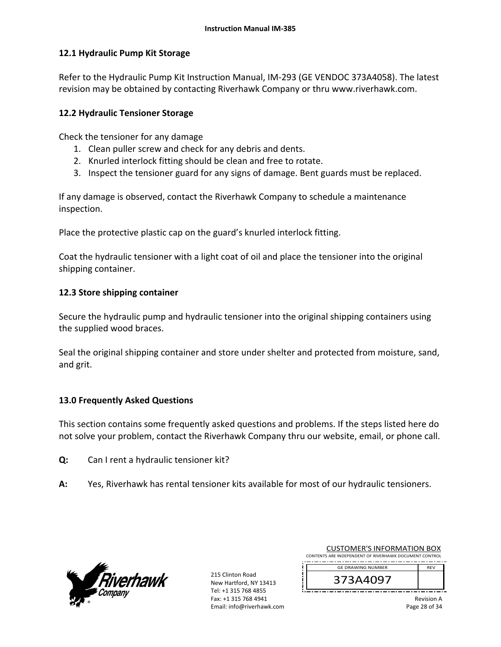#### **12.1 Hydraulic Pump Kit Storage**

Refer to the Hydraulic Pump Kit Instruction Manual, IM‐293 (GE VENDOC 373A4058). The latest revision may be obtained by contacting Riverhawk Company or thru www.riverhawk.com.

#### **12.2 Hydraulic Tensioner Storage**

Check the tensioner for any damage

- 1. Clean puller screw and check for any debris and dents.
- 2. Knurled interlock fitting should be clean and free to rotate.
- 3. Inspect the tensioner guard for any signs of damage. Bent guards must be replaced.

If any damage is observed, contact the Riverhawk Company to schedule a maintenance inspection.

Place the protective plastic cap on the guard's knurled interlock fitting.

Coat the hydraulic tensioner with a light coat of oil and place the tensioner into the original shipping container.

### **12.3 Store shipping container**

Secure the hydraulic pump and hydraulic tensioner into the original shipping containers using the supplied wood braces.

Seal the original shipping container and store under shelter and protected from moisture, sand, and grit.

## **13.0 Frequently Asked Questions**

This section contains some frequently asked questions and problems. If the steps listed here do not solve your problem, contact the Riverhawk Company thru our website, email, or phone call.

- **Q:**  Can I rent a hydraulic tensioner kit?
- **A:**  Yes, Riverhawk has rental tensioner kits available for most of our hydraulic tensioners.



215 Clinton Road New Hartford, NY 13413 Tel: +1 315 768 4855 Fax: +1 315 768 4941 Email: info@riverhawk.com

| 373A4097                                               |            |
|--------------------------------------------------------|------------|
| <b>GE DRAWING NUMBER</b>                               | <b>RFV</b> |
| CONTENTS ARE INDEPENDENT OF RIVERHAWK DOCUMENT CONTROL |            |

CUSTOMER'S INFORMATION BOX

Revision A Page 28 of 34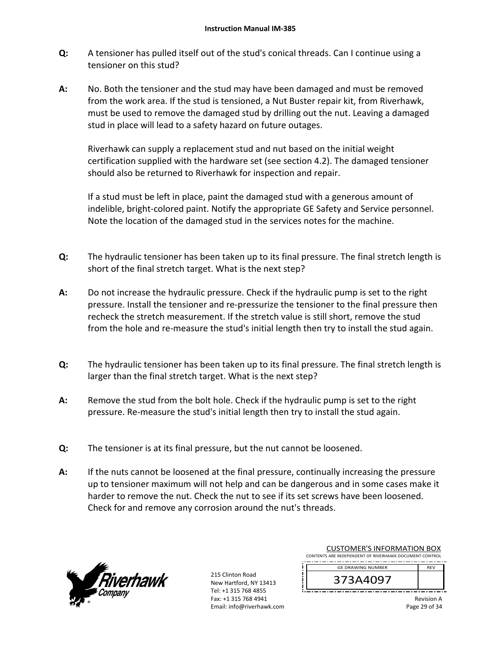- **Q:**  A tensioner has pulled itself out of the stud's conical threads. Can I continue using a tensioner on this stud?
- **A:**  No. Both the tensioner and the stud may have been damaged and must be removed from the work area. If the stud is tensioned, a Nut Buster repair kit, from Riverhawk, must be used to remove the damaged stud by drilling out the nut. Leaving a damaged stud in place will lead to a safety hazard on future outages.

Riverhawk can supply a replacement stud and nut based on the initial weight certification supplied with the hardware set (see section 4.2). The damaged tensioner should also be returned to Riverhawk for inspection and repair.

If a stud must be left in place, paint the damaged stud with a generous amount of indelible, bright‐colored paint. Notify the appropriate GE Safety and Service personnel. Note the location of the damaged stud in the services notes for the machine.

- **Q:**  The hydraulic tensioner has been taken up to its final pressure. The final stretch length is short of the final stretch target. What is the next step?
- **A:**  Do not increase the hydraulic pressure. Check if the hydraulic pump is set to the right pressure. Install the tensioner and re‐pressurize the tensioner to the final pressure then recheck the stretch measurement. If the stretch value is still short, remove the stud from the hole and re-measure the stud's initial length then try to install the stud again.
- **Q:**  The hydraulic tensioner has been taken up to its final pressure. The final stretch length is larger than the final stretch target. What is the next step?
- **A:**  Remove the stud from the bolt hole. Check if the hydraulic pump is set to the right pressure. Re‐measure the stud's initial length then try to install the stud again.
- **Q:**  The tensioner is at its final pressure, but the nut cannot be loosened.
- **A:**  If the nuts cannot be loosened at the final pressure, continually increasing the pressure up to tensioner maximum will not help and can be dangerous and in some cases make it harder to remove the nut. Check the nut to see if its set screws have been loosened. Check for and remove any corrosion around the nut's threads.



215 Clinton Road New Hartford, NY 13413 Tel: +1 315 768 4855 Fax: +1 315 768 4941 Email: info@riverhawk.com

| COSTOIVIER 3 INFORMATION BOA<br>CONTENTS ARE INDEPENDENT OF RIVERHAWK DOCUMENT CONTROL |            |
|----------------------------------------------------------------------------------------|------------|
| <b>GE DRAWING NUMBER</b>                                                               | <b>RFV</b> |
|                                                                                        |            |

CUSTOMER'S INFORMATION BOY

Revision A Page 29 of 34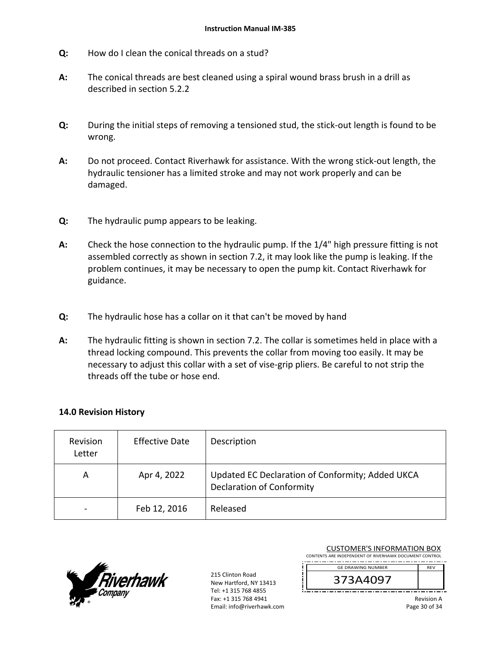- **Q:**  How do I clean the conical threads on a stud?
- **A:**  The conical threads are best cleaned using a spiral wound brass brush in a drill as described in section 5.2.2
- **Q:**  During the initial steps of removing a tensioned stud, the stick‐out length is found to be wrong.
- **A:**  Do not proceed. Contact Riverhawk for assistance. With the wrong stick‐out length, the hydraulic tensioner has a limited stroke and may not work properly and can be damaged.
- **Q:**  The hydraulic pump appears to be leaking.
- **A:**  Check the hose connection to the hydraulic pump. If the 1/4" high pressure fitting is not assembled correctly as shown in section 7.2, it may look like the pump is leaking. If the problem continues, it may be necessary to open the pump kit. Contact Riverhawk for guidance.
- **Q:**  The hydraulic hose has a collar on it that can't be moved by hand
- **A:**  The hydraulic fitting is shown in section 7.2. The collar is sometimes held in place with a thread locking compound. This prevents the collar from moving too easily. It may be necessary to adjust this collar with a set of vise-grip pliers. Be careful to not strip the threads off the tube or hose end.

#### **14.0 Revision History**

| Revision<br>Letter | <b>Effective Date</b> | Description                                                                          |
|--------------------|-----------------------|--------------------------------------------------------------------------------------|
| A                  | Apr 4, 2022           | Updated EC Declaration of Conformity; Added UKCA<br><b>Declaration of Conformity</b> |
|                    | Feb 12, 2016          | Released                                                                             |



215 Clinton Road New Hartford, NY 13413 Tel: +1 315 768 4855 Fax: +1 315 768 4941 Email: info@riverhawk.com

| <b>CUSTOMER'S INFORMATION BOX</b><br>CONTENTS ARE INDEPENDENT OF RIVERHAWK DOCUMENT CONTROL |            |  |
|---------------------------------------------------------------------------------------------|------------|--|
| <b>GE DRAWING NUMBER</b>                                                                    | <b>RFV</b> |  |
| 373A4097                                                                                    |            |  |

Revision A Page 30 of 34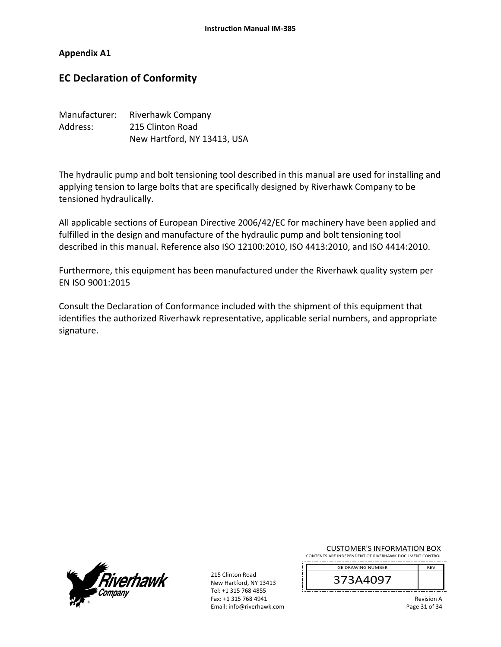#### **Appendix A1**

# **EC Declaration of Conformity**

| Manufacturer: | Riverhawk Company           |
|---------------|-----------------------------|
| Address:      | 215 Clinton Road            |
|               | New Hartford, NY 13413, USA |

The hydraulic pump and bolt tensioning tool described in this manual are used for installing and applying tension to large bolts that are specifically designed by Riverhawk Company to be tensioned hydraulically.

All applicable sections of European Directive 2006/42/EC for machinery have been applied and fulfilled in the design and manufacture of the hydraulic pump and bolt tensioning tool described in this manual. Reference also ISO 12100:2010, ISO 4413:2010, and ISO 4414:2010.

Furthermore, this equipment has been manufactured under the Riverhawk quality system per EN ISO 9001:2015

Consult the Declaration of Conformance included with the shipment of this equipment that identifies the authorized Riverhawk representative, applicable serial numbers, and appropriate signature.



215 Clinton Road New Hartford, NY 13413 Tel: +1 315 768 4855 Fax: +1 315 768 4941 Email: info@riverhawk.com CUSTOMER'S INFORMATION BOX

CONTENTS ARE INDEPENDENT OF RIVERHAWK DOCUMENT CONTROL . . . . . . . . . . . . . . . . . GE DRAWING NUMBER REV

373A4097

Revision A Page 31 of 34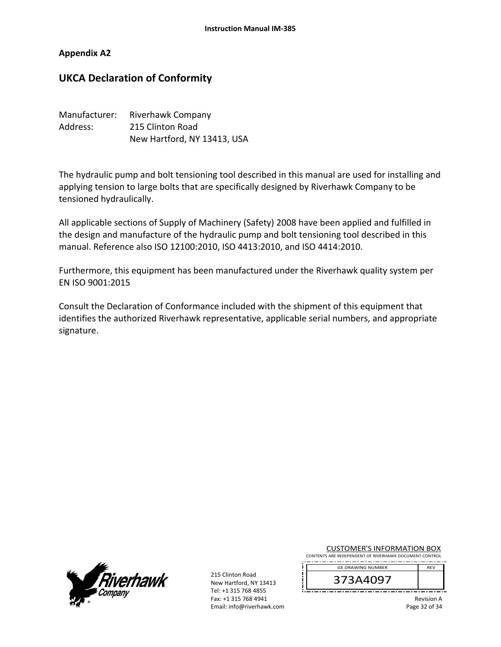#### **Appendix A2**

# **UKCA Declaration of Conformity**

| Manufacturer: | <b>Riverhawk Company</b>    |
|---------------|-----------------------------|
| Address:      | 215 Clinton Road            |
|               | New Hartford, NY 13413, USA |

The hydraulic pump and bolt tensioning tool described in this manual are used for installing and applying tension to large bolts that are specifically designed by Riverhawk Company to be tensioned hydraulically.

All applicable sections of Supply of Machinery (Safety) 2008 have been applied and fulfilled in the design and manufacture of the hydraulic pump and bolt tensioning tool described in this manual. Reference also ISO 12100:2010, ISO 4413:2010, and ISO 4414:2010.

Furthermore, this equipment has been manufactured under the Riverhawk quality system per EN ISO 9001:2015

Consult the Declaration of Conformance included with the shipment of this equipment that identifies the authorized Riverhawk representative, applicable serial numbers, and appropriate signature.



215 Clinton Road New Hartford, NY 13413 Tel: +1 315 768 4855 Fax: +1 315 768 4941 Email: info@riverhawk.com CUSTOMER'S INFORMATION BOX

CONTENTS ARE INDEPENDENT OF RIVERHAWK DOCUMENT CONTROL . . . . . . . . . . . . . . . . . GE DRAWING NUMBER REV

373A4097

Revision A Page 32 of 34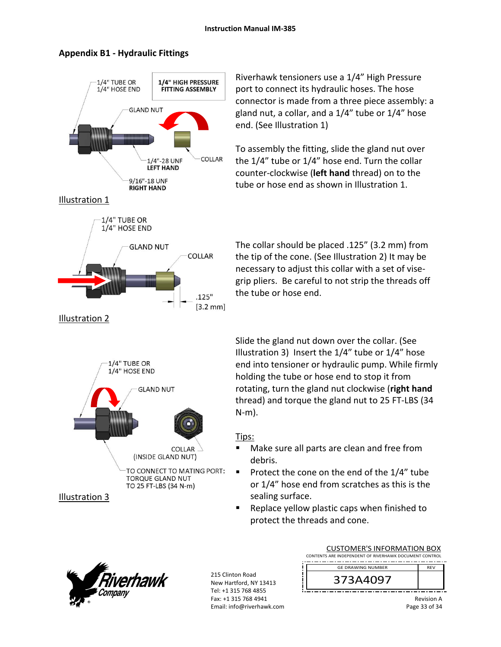

#### **Appendix B1 ‐ Hydraulic Fittings**

Riverhawk tensioners use a 1/4" High Pressure port to connect its hydraulic hoses. The hose connector is made from a three piece assembly: a gland nut, a collar, and a 1/4" tube or 1/4" hose end. (See Illustration 1)

To assembly the fitting, slide the gland nut over the 1/4" tube or 1/4" hose end. Turn the collar counter‐clockwise (**left hand** thread) on to the tube or hose end as shown in Illustration 1.

The collar should be placed .125" (3.2 mm) from the tip of the cone. (See Illustration 2) It may be necessary to adjust this collar with a set of vise‐ grip pliers. Be careful to not strip the threads off the tube or hose end.

Slide the gland nut down over the collar. (See Illustration 3) Insert the 1/4" tube or 1/4" hose end into tensioner or hydraulic pump. While firmly holding the tube or hose end to stop it from rotating, turn the gland nut clockwise (**right hand** thread) and torque the gland nut to 25 FT‐LBS (34 N‐m).

#### Tips:

- Make sure all parts are clean and free from debris.
- Protect the cone on the end of the  $1/4$ " tube or 1/4" hose end from scratches as this is the sealing surface.
- Replace yellow plastic caps when finished to protect the threads and cone.



| <b>CUSTOMER'S INFORMATION BOX</b>                      |            |  |
|--------------------------------------------------------|------------|--|
| CONTENTS ARE INDEPENDENT OF RIVERHAWK DOCUMENT CONTROL |            |  |
| <b>GE DRAWING NUMBER</b>                               | <b>RFV</b> |  |
| 373A4097                                               |            |  |